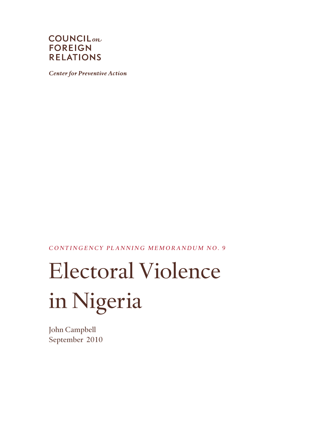# **COUNCIL**<sub>on</sub> **FOREIGN RELATIONS**

**Center for Preventive Action** 

*CONTINGENCY PLANNING MEMORANDUM NO. 9* 

# Electoral Violence in Nigeria

John Campbell September 2010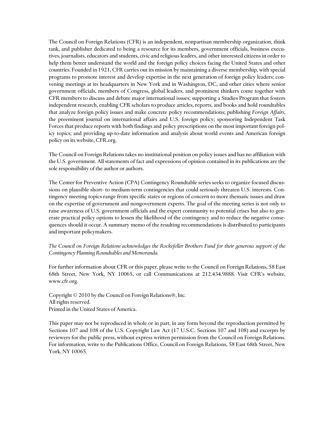The Council on Foreign Relations (CFR) is an independent, nonpartisan membership organization, think tank, and publisher dedicated to being a resource for its members, government officials, business executives, journalists, educators and students, civic and religious leaders, and other interested citizens in order to help them better understand the world and the foreign policy choices facing the United States and other countries. Founded in 1921, CFR carries out its mission by maintaining a diverse membership, with special programs to promote interest and develop expertise in the next generation of foreign policy leaders; convening meetings at its headquarters in New York and in Washington, DC, and other cities where senior government officials, members of Congress, global leaders, and prominent thinkers come together with CFR members to discuss and debate major international issues; supporting a Studies Program that fosters independent research, enabling CFR scholars to produce articles, reports, and books and hold roundtables that analyze foreign policy issues and make concrete policy recommendations; publishing *Foreign Affairs*, the preeminent journal on international affairs and U.S. foreign policy; sponsoring Independent Task Forces that produce reports with both findings and policy prescriptions on the most important foreign policy topics; and providing up-to-date information and analysis about world events and American foreign policy on its website, CFR.org.

The Council on Foreign Relations takes no institutional position on policy issues and has no affiliation with the U.S. government. All statements of fact and expressions of opinion contained in its publications are the sole responsibility of the author or authors.

The Center for Preventive Action (CPA) Contingency Roundtable series seeks to organize focused discussions on plausible short- to medium-term contingencies that could seriously threaten U.S. interests. Contingency meeting topics range from specific states or regions of concern to more thematic issues and draw on the expertise of government and nongovernment experts. The goal of the meeting series is not only to raise awareness of U.S. government officials and the expert community to potential crises but also to generate practical policy options to lessen the likelihood of the contingency and to reduce the negative consequences should it occur. A summary memo of the resulting recommendations is distributed to participants and important policymakers.

*The Council on Foreign Relations acknowledges the Rockefeller Brothers Fund for their generous support of the Contingency Planning Roundtables and Memoranda.* 

For further information about CFR or this paper, please write to the Council on Foreign Relations, 58 East 68th Street, New York, NY 10065, or call Communications at 212.434.9888. Visit CFR's website, www.cfr.org.

Copyright © 2010 by the Council on Foreign Relations®, Inc. All rights reserved. Printed in the United States of America.

This paper may not be reproduced in whole or in part, in any form beyond the reproduction permitted by Sections 107 and 108 of the U.S. Copyright Law Act (17 U.S.C. Sections 107 and 108) and excerpts by reviewers for the public press, without express written permission from the Council on Foreign Relations. For information, write to the Publications Office, Council on Foreign Relations, 58 East 68th Street, New York, NY 10065.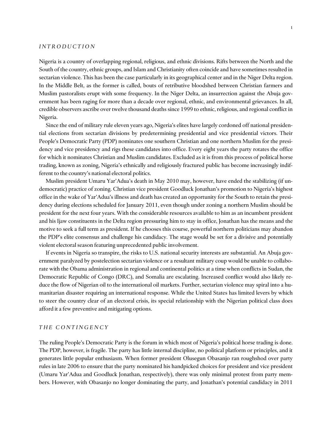#### *INTRODUCTION*

Nigeria is a country of overlapping regional, religious, and ethnic divisions. Rifts between the North and the South of the country, ethnic groups, and Islam and Christianity often coincide and have sometimes resulted in sectarian violence. This has been the case particularly in its geographical center and in the Niger Delta region. In the Middle Belt, as the former is called, bouts of retributive bloodshed between Christian farmers and Muslim pastoralists erupt with some frequency. In the Niger Delta, an insurrection against the Abuja government has been raging for more than a decade over regional, ethnic, and environmental grievances. In all, credible observers ascribe over twelve thousand deaths since 1999 to ethnic, religious, and regional conflict in Nigeria.

Since the end of military rule eleven years ago, Nigeria's elites have largely cordoned off national presidential elections from sectarian divisions by predetermining presidential and vice presidential victors. Their People's Democratic Party (PDP) nominates one southern Christian and one northern Muslim for the presidency and vice presidency and rigs these candidates into office. Every eight years the party rotates the office for which it nominates Christian and Muslim candidates. Excluded as it is from this process of political horse trading, known as zoning, Nigeria's ethnically and religiously fractured public has become increasingly indifferent to the country's national electoral politics.

Muslim president Umaru Yar'Adua's death in May 2010 may, however, have ended the stabilizing (if undemocratic) practice of zoning. Christian vice president Goodluck Jonathan's promotion to Nigeria's highest office in the wake of Yar'Adua's illness and death has created an opportunity for the South to retain the presidency during elections scheduled for January 2011, even though under zoning a northern Muslim should be president for the next four years. With the considerable resources available to him as an incumbent president and his Ijaw constituents in the Delta region pressuring him to stay in office, Jonathan has the means and the motive to seek a full term as president. If he chooses this course, powerful northern politicians may abandon the PDP's elite consensus and challenge his candidacy. The stage would be set for a divisive and potentially violent electoral season featuring unprecedented public involvement.

If events in Nigeria so transpire, the risks to U.S. national security interests are substantial. An Abuja government paralyzed by postelection sectarian violence or a resultant military coup would be unable to collaborate with the Obama administration in regional and continental politics at a time when conflicts in Sudan, the Democratic Republic of Congo (DRC), and Somalia are escalating. Increased conflict would also likely reduce the flow of Nigerian oil to the international oil markets. Further, sectarian violence may spiral into a humanitarian disaster requiring an international response. While the United States has limited levers by which to steer the country clear of an electoral crisis, its special relationship with the Nigerian political class does afford it a few preventive and mitigating options.

## *THE CONTINGENCY*

The ruling People's Democratic Party is the forum in which most of Nigeria's political horse trading is done. The PDP, however, is fragile. The party has little internal discipline, no political platform or principles, and it generates little popular enthusiasm. When former president Olusegun Obasanjo ran roughshod over party rules in late 2006 to ensure that the party nominated his handpicked choices for president and vice president (Umaru Yar'Adua and Goodluck Jonathan, respectively), there was only minimal protest from party members. However, with Obasanjo no longer dominating the party, and Jonathan's potential candidacy in 2011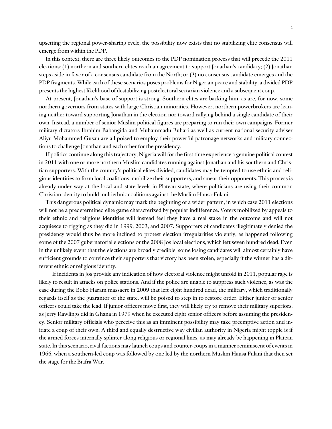upsetting the regional power-sharing cycle, the possibility now exists that no stabilizing elite consensus will emerge from within the PDP.

In this context, there are three likely outcomes to the PDP nomination process that will precede the 2011 elections: (1) northern and southern elites reach an agreement to support Jonathan's candidacy; (2) Jonathan steps aside in favor of a consensus candidate from the North; or (3) no consensus candidate emerges and the PDP fragments. While each of these scenarios poses problems for Nigerian peace and stability, a divided PDP presents the highest likelihood of destabilizing postelectoral sectarian violence and a subsequent coup.

At present, Jonathan's base of support is strong. Southern elites are backing him, as are, for now, some northern governors from states with large Christian minorities. However, northern powerbrokers are leaning neither toward supporting Jonathan in the election nor toward rallying behind a single candidate of their own. Instead, a number of senior Muslim political figures are preparing to run their own campaigns. Former military dictators Ibrahim Babangida and Muhammadu Buhari as well as current national security adviser Aliyu Mohammed Gusau are all poised to employ their powerful patronage networks and military connections to challenge Jonathan and each other for the presidency.

If politics continue along this trajectory, Nigeria will for the first time experience a genuine political contest in 2011 with one or more northern Muslim candidates running against Jonathan and his southern and Christian supporters. With the country's political elites divided, candidates may be tempted to use ethnic and religious identities to form local coalitions, mobilize their supporters, and smear their opponents. This process is already under way at the local and state levels in Plateau state, where politicians are using their common Christian identity to build multiethnic coalitions against the Muslim Hausa-Fulani.

This dangerous political dynamic may mark the beginning of a wider pattern, in which case 2011 elections will not be a predetermined elite game characterized by popular indifference. Voters mobilized by appeals to their ethnic and religious identities will instead feel they have a real stake in the outcome and will not acquiesce to rigging as they did in 1999, 2003, and 2007. Supporters of candidates illegitimately denied the presidency would thus be more inclined to protest election irregularities violently, as happened following some of the 2007 gubernatorial elections or the 2008 Jos local elections, which left seven hundred dead. Even in the unlikely event that the elections are broadly credible, some losing candidates will almost certainly have sufficient grounds to convince their supporters that victory has been stolen, especially if the winner has a different ethnic or religious identity.

 If incidents in Jos provide any indication of how electoral violence might unfold in 2011, popular rage is likely to result in attacks on police stations. And if the police are unable to suppress such violence, as was the case during the Boko Haram massacre in 2009 that left eight hundred dead, the military, which traditionally regards itself as the guarantor of the state, will be poised to step in to restore order. Either junior or senior officers could take the lead. If junior officers move first, they will likely try to remove their military superiors, as Jerry Rawlings did in Ghana in 1979 when he executed eight senior officers before assuming the presidency. Senior military officials who perceive this as an imminent possibility may take preemptive action and initiate a coup of their own. A third and equally destructive way civilian authority in Nigeria might topple is if the armed forces internally splinter along religious or regional lines, as may already be happening in Plateau state. In this scenario, rival factions may launch coups and counter-coups in a manner reminiscent of events in 1966, when a southern-led coup was followed by one led by the northern Muslim Hausa Fulani that then set the stage for the Biafra War.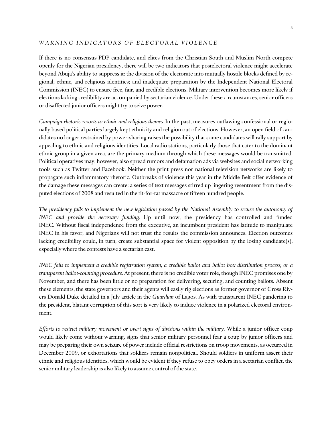#### *WARNING INDICATORS OF ELECTORAL VIOLENCE*

If there is no consensus PDP candidate, and elites from the Christian South and Muslim North compete openly for the Nigerian presidency, there will be two indicators that postelectoral violence might accelerate beyond Abuja's ability to suppress it: the division of the electorate into mutually hostile blocks defined by regional, ethnic, and religious identities; and inadequate preparation by the Independent National Electoral Commission (INEC) to ensure free, fair, and credible elections. Military intervention becomes more likely if elections lacking credibility are accompanied by sectarian violence. Under these circumstances, senior officers or disaffected junior officers might try to seize power.

*Campaign rhetoric resorts to ethnic and religious themes.* In the past, measures outlawing confessional or regionally based political parties largely kept ethnicity and religion out of elections. However, an open field of candidates no longer restrained by power-sharing raises the possibility that some candidates will rally support by appealing to ethnic and religious identities. Local radio stations, particularly those that cater to the dominant ethnic group in a given area, are the primary medium through which these messages would be transmitted. Political operatives may, however, also spread rumors and defamation ads via websites and social networking tools such as Twitter and Facebook. Neither the print press nor national television networks are likely to propagate such inflammatory rhetoric. Outbreaks of violence this year in the Middle Belt offer evidence of the damage these messages can create: a series of text messages stirred up lingering resentment from the disputed elections of 2008 and resulted in the tit-for-tat massacre of fifteen hundred people.

*The presidency fails to implement the new legislation passed by the National Assembly to secure the autonomy of INEC and provide the necessary funding.* Up until now, the presidency has controlled and funded INEC. Without fiscal independence from the executive, an incumbent president has latitude to manipulate INEC in his favor, and Nigerians will not trust the results the commission announces. Election outcomes lacking credibility could, in turn, create substantial space for violent opposition by the losing candidate(s), especially where the contests have a sectarian cast.

*INEC fails to implement a credible registration system, a credible ballot and ballot box distribution process, or a transparent ballot-counting procedure.* At present, there is no credible voter role, though INEC promises one by November, and there has been little or no preparation for delivering, securing, and counting ballots. Absent these elements, the state governors and their agents will easily rig elections as former governor of Cross Rivers Donald Duke detailed in a July article in the *Guardian* of Lagos. As with transparent INEC pandering to the president, blatant corruption of this sort is very likely to induce violence in a polarized electoral environment.

*Efforts to restrict military movement or overt signs of divisions within the military*. While a junior officer coup would likely come without warning, signs that senior military personnel fear a coup by junior officers and may be preparing their own seizure of power include official restrictions on troop movements, as occurred in December 2009, or exhortations that soldiers remain nonpolitical. Should soldiers in uniform assert their ethnic and religious identities, which would be evident if they refuse to obey orders in a sectarian conflict, the senior military leadership is also likely to assume control of the state.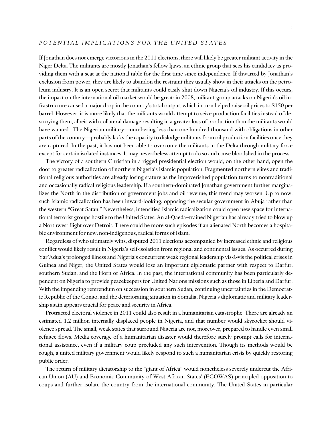#### *POTENTIAL IMPLICATIONS FOR THE UNITED STATES*

If Jonathan does not emerge victorious in the 2011 elections, there will likely be greater militant activity in the Niger Delta. The militants are mostly Jonathan's fellow Ijaws, an ethnic group that sees his candidacy as providing them with a seat at the national table for the first time since independence. If thwarted by Jonathan's exclusion from power, they are likely to abandon the restraint they usually show in their attacks on the petroleum industry. It is an open secret that militants could easily shut down Nigeria's oil industry. If this occurs, the impact on the international oil market would be great: in 2008, militant-group attacks on Nigeria's oil infrastructure caused a major drop in the country's total output, which in turn helped raise oil prices to \$150 per barrel. However, it is more likely that the militants would attempt to seize production facilities instead of destroying them, albeit with collateral damage resulting in a greater loss of production than the militants would have wanted. The Nigerian military—numbering less than one hundred thousand with obligations in other parts of the country—probably lacks the capacity to dislodge militants from oil production facilities once they are captured. In the past, it has not been able to overcome the militants in the Delta through military force except for certain isolated instances. It may nevertheless attempt to do so and cause bloodshed in the process.

The victory of a southern Christian in a rigged presidential election would, on the other hand, open the door to greater radicalization of northern Nigeria's Islamic population. Fragmented northern elites and traditional religious authorities are already losing stature as the impoverished population turns to nontraditional and occasionally radical religious leadership. If a southern-dominated Jonathan government further marginalizes the North in the distribution of government jobs and oil revenue, this trend may worsen. Up to now, such Islamic radicalization has been inward-looking, opposing the secular government in Abuja rather than the western "Great Satan." Nevertheless, intensified Islamic radicalization could open new space for international terrorist groups hostile to the United States. An al-Qaeda-trained Nigerian has already tried to blow up a Northwest flight over Detroit. There could be more such episodes if an alienated North becomes a hospitable environment for new, non-indigenous, radical forms of Islam.

Regardless of who ultimately wins, disputed 2011 elections accompanied by increased ethnic and religious conflict would likely result in Nigeria's self-isolation from regional and continental issues. As occurred during Yar'Adua's prolonged illness and Nigeria's concurrent weak regional leadership vis-à-vis the political crises in Guinea and Niger, the United States would lose an important diplomatic partner with respect to Darfur, southern Sudan, and the Horn of Africa. In the past, the international community has been particularly dependent on Nigeria to provide peacekeepers for United Nations missions such as those in Liberia and Darfur. With the impending referendum on succession in southern Sudan, continuing uncertainties in the Democratic Republic of the Congo, and the deteriorating situation in Somalia, Nigeria's diplomatic and military leadership again appears crucial for peace and security in Africa.

Protracted electoral violence in 2011 could also result in a humanitarian catastrophe. There are already an estimated 1.2 million internally displaced people in Nigeria, and that number would skyrocket should violence spread. The small, weak states that surround Nigeria are not, moreover, prepared to handle even small refugee flows. Media coverage of a humanitarian disaster would therefore surely prompt calls for international assistance, even if a military coup precluded any such intervention. Though its methods would be rough, a united military government would likely respond to such a humanitarian crisis by quickly restoring public order.

The return of military dictatorship to the "giant of Africa" would nonetheless severely undercut the African Union (AU) and Economic Community of West African States' (ECOWAS) principled opposition to coups and further isolate the country from the international community. The United States in particular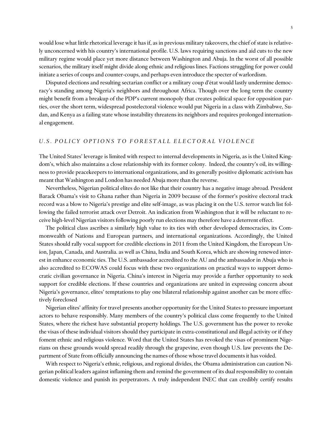would lose what little rhetorical leverage it has if, as in previous military takeovers, the chief of state is relatively unconcerned with his country's international profile. U.S. laws requiring sanctions and aid cuts to the new military regime would place yet more distance between Washington and Abuja. In the worst of all possible scenarios, the military itself might divide along ethnic and religious lines. Factions struggling for power could initiate a series of coups and counter-coups, and perhaps even introduce the specter of warlordism.

Disputed elections and resulting sectarian conflict or a military coup d'état would lastly undermine democracy's standing among Nigeria's neighbors and throughout Africa. Though over the long term the country might benefit from a breakup of the PDP's current monopoly that creates political space for opposition parties, over the short term, widespread postelectoral violence would put Nigeria in a class with Zimbabwe, Sudan, and Kenya as a failing state whose instability threatens its neighbors and requires prolonged international engagement.

#### *U.S. POLICY OPTIONS TO FORESTALL ELECTORAL VIOLENCE*

The United States' leverage is limited with respect to internal developments in Nigeria, as is the United Kingdom's, which also maintains a close relationship with its former colony. Indeed, the country's oil, its willingness to provide peacekeepers to international organizations, and its generally positive diplomatic activism has meant that Washington and London has needed Abuja more than the reverse.

Nevertheless, Nigerian political elites do not like that their country has a negative image abroad. President Barack Obama's visit to Ghana rather than Nigeria in 2009 because of the former's positive electoral track record was a blow to Nigeria's prestige and elite self-image, as was placing it on the U.S. terror watch list following the failed terrorist attack over Detroit. An indication from Washington that it will be reluctant to receive high-level Nigerian visitors following poorly run elections may therefore have a deterrent effect.

The political class ascribes a similarly high value to its ties with other developed democracies, its Commonwealth of Nations and European partners, and international organizations. Accordingly, the United States should rally vocal support for credible elections in 2011 from the United Kingdom, the European Union, Japan, Canada, and Australia. as well as China, India and South Korea, which are showing renewed interest in enhance economic ties. The U.S. ambassador accredited to the AU and the ambassador in Abuja who is also accredited to ECOWAS could focus with these two organizations on practical ways to support democratic civilian governance in Nigeria. China's interest in Nigeria may provide a further opportunity to seek support for credible elections. If these countries and organizations are united in expressing concern about Nigeria's governance, elites' temptations to play one bilateral relationship against another can be more effectively foreclosed

Nigerian elites' affinity for travel presents another opportunity for the United States to pressure important actors to behave responsibly. Many members of the country's political class come frequently to the United States, where the richest have substantial property holdings. The U.S. government has the power to revoke the visas of these individual visitors should they participate in extra-constitutional and illegal activity or if they foment ethnic and religious violence. Word that the United States has revoked the visas of prominent Nigerians on these grounds would spread readily through the grapevine, even though U.S. law prevents the Department of State from officially announcing the names of those whose travel documents it has voided.

With respect to Nigeria's ethnic, religious, and regional divides, the Obama administration can caution Nigerian political leaders against inflaming them and remind the government of its dual responsibility to contain domestic violence and punish its perpetrators. A truly independent INEC that can credibly certify results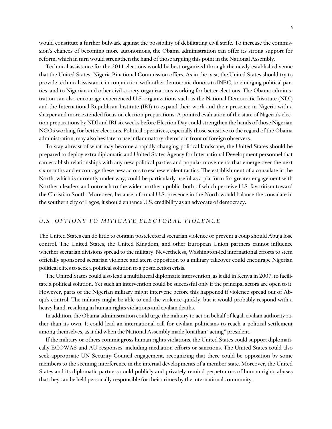would constitute a further bulwark against the possibility of debilitating civil strife. To increase the commission's chances of becoming more autonomous, the Obama administration can offer its strong support for reform, which in turn would strengthen the hand of those arguing this point in the National Assembly.

Technical assistance for the 2011 elections would be best organized through the newly established venue that the United States–Nigeria Binational Commission offers. As in the past, the United States should try to provide technical assistance in conjunction with other democratic donors to INEC, to emerging political parties, and to Nigerian and other civil society organizations working for better elections. The Obama administration can also encourage experienced U.S. organizations such as the National Democratic Institute (NDI) and the International Republican Institute (IRI) to expand their work and their presence in Nigeria with a sharper and more extended focus on election preparations. A pointed evaluation of the state of Nigeria's election preparations by NDI and IRI six weeks before Election Day could strengthen the hands of those Nigerian NGOs working for better elections. Political operatives, especially those sensitive to the regard of the Obama administration, may also hesitate to use inflammatory rhetoric in front of foreign observers.

To stay abreast of what may become a rapidly changing political landscape, the United States should be prepared to deploy extra diplomatic and United States Agency for International Development personnel that can establish relationships with any new political parties and popular movements that emerge over the next six months and encourage these new actors to eschew violent tactics. The establishment of a consulate in the North, which is currently under way, could be particularly useful as a platform for greater engagement with Northern leaders and outreach to the wider northern public, both of which perceive U.S. favoritism toward the Christian South. Moreover, because a formal U.S. presence in the North would balance the consulate in the southern city of Lagos, it should enhance U.S. credibility as an advocate of democracy.

## *U.S. OPTIONS TO MITIGATE ELECTORAL VIOLENCE*

The United States can do little to contain postelectoral sectarian violence or prevent a coup should Abuja lose control. The United States, the United Kingdom, and other European Union partners cannot influence whether sectarian divisions spread to the military. Nevertheless, Washington-led international efforts to stem officially sponsored sectarian violence and stern opposition to a military takeover could encourage Nigerian political elites to seek a political solution to a postelection crisis.

The United States could also lead a multilateral diplomatic intervention, as it did in Kenya in 2007, to facilitate a political solution. Yet such an intervention could be successful only if the principal actors are open to it. However, parts of the Nigerian military might intervene before this happened if violence spread out of Abuja's control. The military might be able to end the violence quickly, but it would probably respond with a heavy hand, resulting in human rights violations and civilian deaths.

In addition, the Obama administration could urge the military to act on behalf of legal, civilian authority rather than its own. It could lead an international call for civilian politicians to reach a political settlement among themselves, as it did when the National Assembly made Jonathan "acting" president.

If the military or others commit gross human rights violations, the United States could support diplomatically ECOWAS and AU responses, including mediation efforts or sanctions. The United States could also seek appropriate UN Security Council engagement, recognizing that there could be opposition by some members to the seeming interference in the internal developments of a member state. Moreover, the United States and its diplomatic partners could publicly and privately remind perpetrators of human rights abuses that they can be held personally responsible for their crimes by the international community.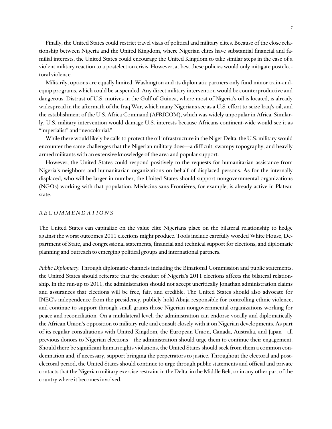Finally, the United States could restrict travel visas of political and military elites. Because of the close relationship between Nigeria and the United Kingdom, where Nigerian elites have substantial financial and familial interests, the United States could encourage the United Kingdom to take similar steps in the case of a violent military reaction to a postelection crisis. However, at best these policies would only mitigate postelectoral violence.

Militarily, options are equally limited. Washington and its diplomatic partners only fund minor train-andequip programs, which could be suspended. Any direct military intervention would be counterproductive and dangerous. Distrust of U.S. motives in the Gulf of Guinea, where most of Nigeria's oil is located, is already widespread in the aftermath of the Iraq War, which many Nigerians see as a U.S. effort to seize Iraq's oil, and the establishment of the U.S. Africa Command (AFRICOM), which was widely unpopular in Africa. Similarly, U.S. military intervention would damage U.S. interests because Africans continent-wide would see it as "imperialist" and "neocolonial."

While there would likely be calls to protect the oil infrastructure in the Niger Delta, the U.S. military would encounter the same challenges that the Nigerian military does—a difficult, swampy topography, and heavily armed militants with an extensive knowledge of the area and popular support.

However, the United States could respond positively to the requests for humanitarian assistance from Nigeria's neighbors and humanitarian organizations on behalf of displaced persons. As for the internally displaced, who will be larger in number, the United States should support nongovernmental organizations (NGOs) working with that population. Médecins sans Frontières, for example, is already active in Plateau state.

#### *RECOMMENDATIONS*

The United States can capitalize on the value elite Nigerians place on the bilateral relationship to hedge against the worst outcomes 2011 elections might produce. Tools include carefully worded White House, Department of State, and congressional statements, financial and technical support for elections, and diplomatic planning and outreach to emerging political groups and international partners.

*Public Diplomacy.* Through diplomatic channels including the Binational Commission and public statements, the United States should reiterate that the conduct of Nigeria's 2011 elections affects the bilateral relationship. In the run-up to 2011, the administration should not accept uncritically Jonathan administration claims and assurances that elections will be free, fair, and credible. The United States should also advocate for INEC's independence from the presidency, publicly hold Abuja responsible for controlling ethnic violence, and continue to support through small grants those Nigerian nongovernmental organizations working for peace and reconciliation. On a multilateral level, the administration can endorse vocally and diplomatically the African Union's opposition to military rule and consult closely with it on Nigerian developments. As part of its regular consultations with United Kingdom, the European Union, Canada, Australia, and Japan—all previous donors to Nigerian elections—the administration should urge them to continue their engagement. Should there be significant human rights violations, the United States should seek from them a common condemnation and, if necessary, support bringing the perpetrators to justice. Throughout the electoral and postelectoral period, the United States should continue to urge through public statements and official and private contacts that the Nigerian military exercise restraint in the Delta, in the Middle Belt, or in any other part of the country where it becomes involved.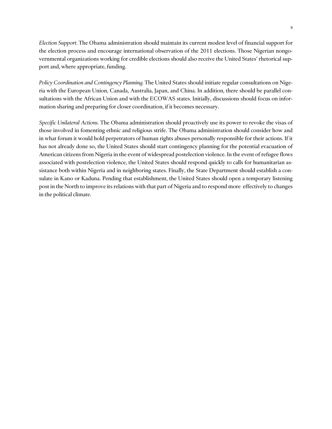*Election Support.* The Obama administration should maintain its current modest level of financial support for the election process and encourage international observation of the 2011 elections. Those Nigerian nongovernmental organizations working for credible elections should also receive the United States' rhetorical support and, where appropriate, funding.

*Policy Coordination and Contingency Planning.* The United States should initiate regular consultations on Nigeria with the European Union, Canada, Australia, Japan, and China. In addition, there should be parallel consultations with the African Union and with the ECOWAS states. Initially, discussions should focus on information sharing and preparing for closer coordination, if it becomes necessary.

*Specific Unilateral Actions*. The Obama administration should proactively use its power to revoke the visas of those involved in fomenting ethnic and religious strife. The Obama administration should consider how and in what forum it would hold perpetrators of human rights abuses personally responsible for their actions. If it has not already done so, the United States should start contingency planning for the potential evacuation of American citizens from Nigeria in the event of widespread postelection violence. In the event of refugee flows associated with postelection violence, the United States should respond quickly to calls for humanitarian assistance both within Nigeria and in neighboring states. Finally, the State Department should establish a consulate in Kano or Kaduna. Pending that establishment, the United States should open a temporary listening post in the North to improve its relations with that part of Nigeria and to respond more effectively to changes in the political climate.